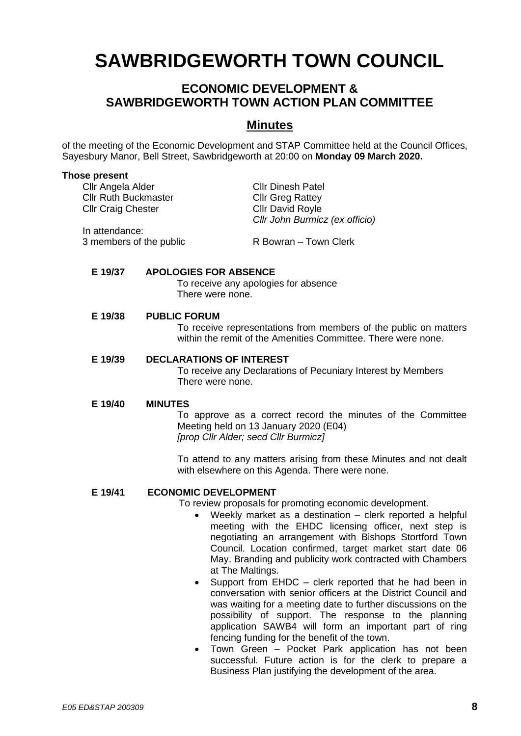# **SAWBRIDGEWORTH TOWN COUNCIL**

## **ECONOMIC DEVELOPMENT & SAWBRIDGEWORTH TOWN ACTION PLAN COMMITTEE**

### **Minutes**

of the meeting of the Economic Development and STAP Committee held at the Council Offices, Sayesbury Manor, Bell Street, Sawbridgeworth at 20:00 on **Monday 09 March 2020.**

#### **Those present**

| Cllr Angela Alder           | <b>Cllr Dinesh Patel</b>       |
|-----------------------------|--------------------------------|
| <b>Cllr Ruth Buckmaster</b> | <b>Cllr Greg Rattey</b>        |
| <b>Cllr Craig Chester</b>   | <b>Cllr David Royle</b>        |
|                             | Cllr John Burmicz (ex officio) |
| In attendance:              |                                |
| 3 members of the public     | R Bowran - Town Clerk          |
|                             |                                |

#### **E 19/37 APOLOGIES FOR ABSENCE**

To receive any apologies for absence There were none.

#### **E 19/38 PUBLIC FORUM**

To receive representations from members of the public on matters within the remit of the Amenities Committee. There were none.

#### **E 19/39 DECLARATIONS OF INTEREST**

To receive any Declarations of Pecuniary Interest by Members There were none.

#### **E 19/40 MINUTES**

To approve as a correct record the minutes of the Committee Meeting held on 13 January 2020 (E04) *[prop Cllr Alder; secd Cllr Burmicz]*

To attend to any matters arising from these Minutes and not dealt with elsewhere on this Agenda. There were none.

#### **E 19/41 ECONOMIC DEVELOPMENT**

To review proposals for promoting economic development.

- Weekly market as a destination clerk reported a helpful meeting with the EHDC licensing officer, next step is negotiating an arrangement with Bishops Stortford Town Council. Location confirmed, target market start date 06 May. Branding and publicity work contracted with Chambers at The Maltings.
- Support from EHDC clerk reported that he had been in conversation with senior officers at the District Council and was waiting for a meeting date to further discussions on the possibility of support. The response to the planning application SAWB4 will form an important part of ring fencing funding for the benefit of the town.
- Town Green Pocket Park application has not been successful. Future action is for the clerk to prepare a Business Plan justifying the development of the area.